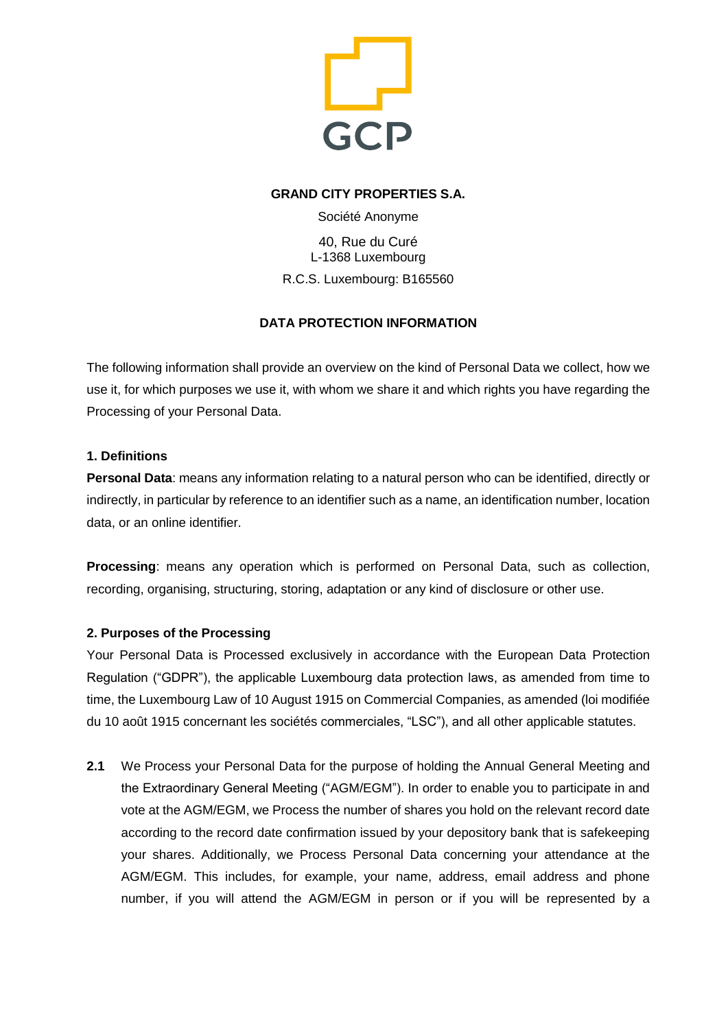

## **GRAND CITY PROPERTIES S.A.**

Société Anonyme

40, Rue du Curé L-1368 Luxembourg R.C.S. Luxembourg: B165560

# **DATA PROTECTION INFORMATION**

The following information shall provide an overview on the kind of Personal Data we collect, how we use it, for which purposes we use it, with whom we share it and which rights you have regarding the Processing of your Personal Data.

## **1. Definitions**

**Personal Data**: means any information relating to a natural person who can be identified, directly or indirectly, in particular by reference to an identifier such as a name, an identification number, location data, or an online identifier.

**Processing**: means any operation which is performed on Personal Data, such as collection, recording, organising, structuring, storing, adaptation or any kind of disclosure or other use.

# **2. Purposes of the Processing**

Your Personal Data is Processed exclusively in accordance with the European Data Protection Regulation ("GDPR"), the applicable Luxembourg data protection laws, as amended from time to time, the Luxembourg Law of 10 August 1915 on Commercial Companies, as amended (loi modifiée du 10 août 1915 concernant les sociétés commerciales, "LSC"), and all other applicable statutes.

**2.1** We Process your Personal Data for the purpose of holding the Annual General Meeting and the Extraordinary General Meeting ("AGM/EGM"). In order to enable you to participate in and vote at the AGM/EGM, we Process the number of shares you hold on the relevant record date according to the record date confirmation issued by your depository bank that is safekeeping your shares. Additionally, we Process Personal Data concerning your attendance at the AGM/EGM. This includes, for example, your name, address, email address and phone number, if you will attend the AGM/EGM in person or if you will be represented by a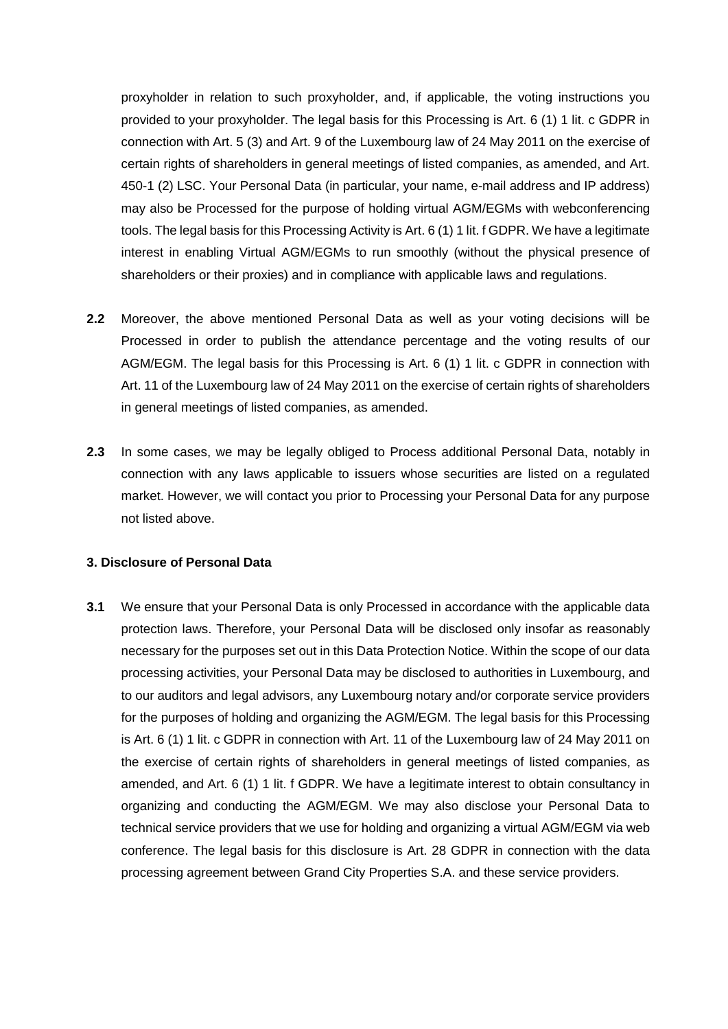proxyholder in relation to such proxyholder, and, if applicable, the voting instructions you provided to your proxyholder. The legal basis for this Processing is Art. 6 (1) 1 lit. c GDPR in connection with Art. 5 (3) and Art. 9 of the Luxembourg law of 24 May 2011 on the exercise of certain rights of shareholders in general meetings of listed companies, as amended, and Art. 450-1 (2) LSC. Your Personal Data (in particular, your name, e-mail address and IP address) may also be Processed for the purpose of holding virtual AGM/EGMs with webconferencing tools. The legal basis for this Processing Activity is Art. 6 (1) 1 lit. f GDPR. We have a legitimate interest in enabling Virtual AGM/EGMs to run smoothly (without the physical presence of shareholders or their proxies) and in compliance with applicable laws and regulations.

- **2.2** Moreover, the above mentioned Personal Data as well as your voting decisions will be Processed in order to publish the attendance percentage and the voting results of our AGM/EGM. The legal basis for this Processing is Art. 6 (1) 1 lit. c GDPR in connection with Art. 11 of the Luxembourg law of 24 May 2011 on the exercise of certain rights of shareholders in general meetings of listed companies, as amended.
- **2.3** In some cases, we may be legally obliged to Process additional Personal Data, notably in connection with any laws applicable to issuers whose securities are listed on a regulated market. However, we will contact you prior to Processing your Personal Data for any purpose not listed above.

#### **3. Disclosure of Personal Data**

**3.1** We ensure that your Personal Data is only Processed in accordance with the applicable data protection laws. Therefore, your Personal Data will be disclosed only insofar as reasonably necessary for the purposes set out in this Data Protection Notice. Within the scope of our data processing activities, your Personal Data may be disclosed to authorities in Luxembourg, and to our auditors and legal advisors, any Luxembourg notary and/or corporate service providers for the purposes of holding and organizing the AGM/EGM. The legal basis for this Processing is Art. 6 (1) 1 lit. c GDPR in connection with Art. 11 of the Luxembourg law of 24 May 2011 on the exercise of certain rights of shareholders in general meetings of listed companies, as amended, and Art. 6 (1) 1 lit. f GDPR. We have a legitimate interest to obtain consultancy in organizing and conducting the AGM/EGM. We may also disclose your Personal Data to technical service providers that we use for holding and organizing a virtual AGM/EGM via web conference. The legal basis for this disclosure is Art. 28 GDPR in connection with the data processing agreement between Grand City Properties S.A. and these service providers.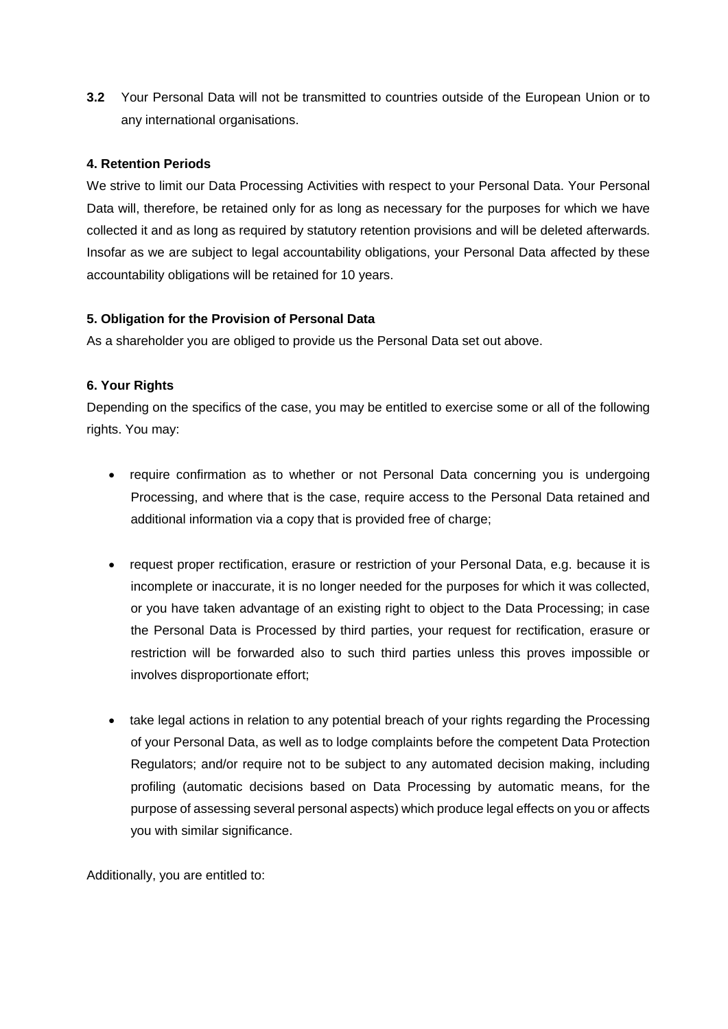**3.2** Your Personal Data will not be transmitted to countries outside of the European Union or to any international organisations.

### **4. Retention Periods**

We strive to limit our Data Processing Activities with respect to your Personal Data. Your Personal Data will, therefore, be retained only for as long as necessary for the purposes for which we have collected it and as long as required by statutory retention provisions and will be deleted afterwards. Insofar as we are subject to legal accountability obligations, your Personal Data affected by these accountability obligations will be retained for 10 years.

### **5. Obligation for the Provision of Personal Data**

As a shareholder you are obliged to provide us the Personal Data set out above.

## **6. Your Rights**

Depending on the specifics of the case, you may be entitled to exercise some or all of the following rights. You may:

- require confirmation as to whether or not Personal Data concerning you is undergoing Processing, and where that is the case, require access to the Personal Data retained and additional information via a copy that is provided free of charge;
- request proper rectification, erasure or restriction of your Personal Data, e.g. because it is incomplete or inaccurate, it is no longer needed for the purposes for which it was collected, or you have taken advantage of an existing right to object to the Data Processing; in case the Personal Data is Processed by third parties, your request for rectification, erasure or restriction will be forwarded also to such third parties unless this proves impossible or involves disproportionate effort;
- take legal actions in relation to any potential breach of your rights regarding the Processing of your Personal Data, as well as to lodge complaints before the competent Data Protection Regulators; and/or require not to be subject to any automated decision making, including profiling (automatic decisions based on Data Processing by automatic means, for the purpose of assessing several personal aspects) which produce legal effects on you or affects you with similar significance.

Additionally, you are entitled to: